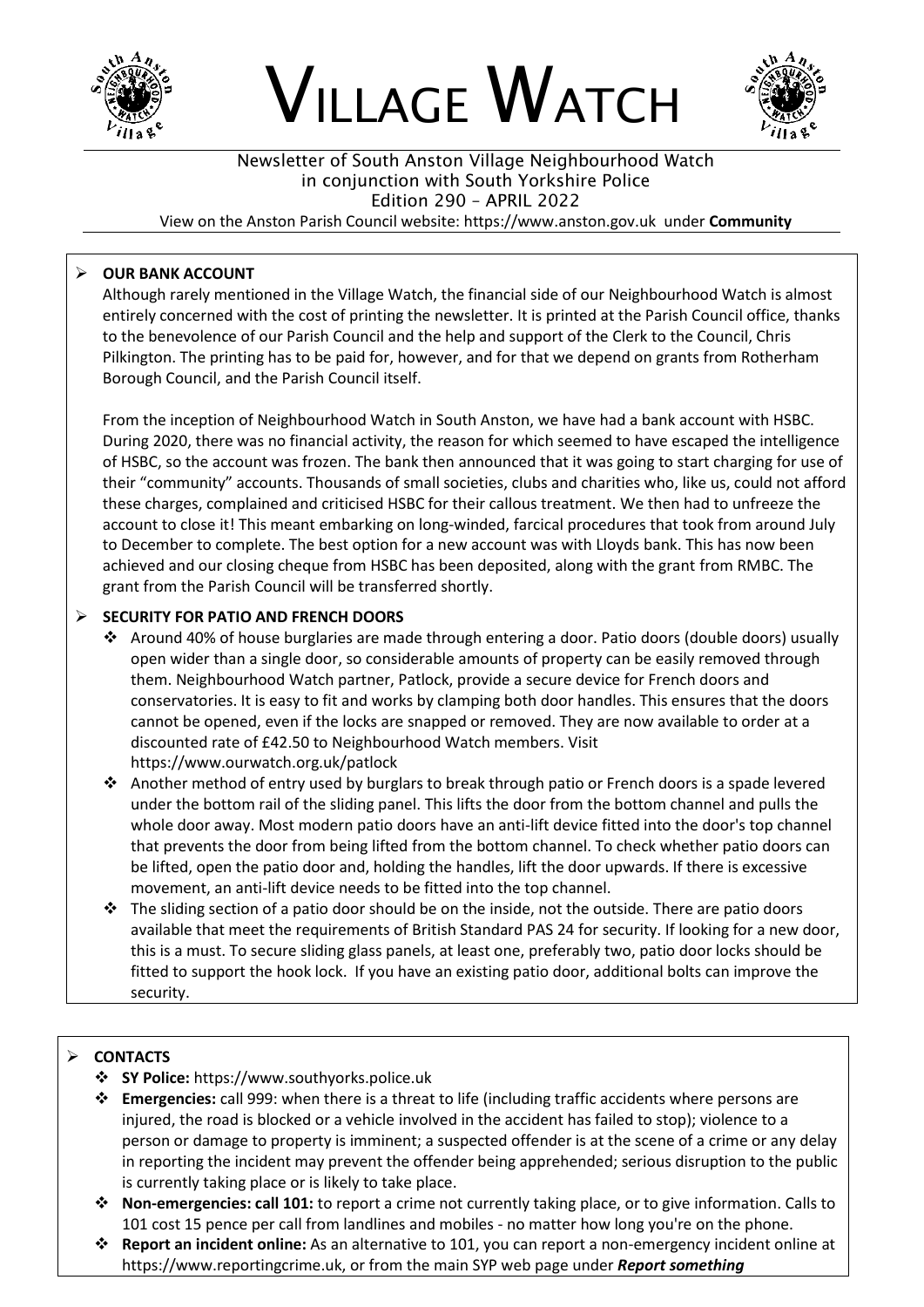





# Newsletter of South Anston Village Neighbourhood Watch in conjunction with South Yorkshire Police Edition 290 – APRIL 2022

View on the Anston Parish Council website: https://www.anston.gov.uk under **Community**

## ➢ **OUR BANK ACCOUNT**

Although rarely mentioned in the Village Watch, the financial side of our Neighbourhood Watch is almost entirely concerned with the cost of printing the newsletter. It is printed at the Parish Council office, thanks to the benevolence of our Parish Council and the help and support of the Clerk to the Council, Chris Pilkington. The printing has to be paid for, however, and for that we depend on grants from Rotherham Borough Council, and the Parish Council itself.

From the inception of Neighbourhood Watch in South Anston, we have had a bank account with HSBC. During 2020, there was no financial activity, the reason for which seemed to have escaped the intelligence of HSBC, so the account was frozen. The bank then announced that it was going to start charging for use of their "community" accounts. Thousands of small societies, clubs and charities who, like us, could not afford these charges, complained and criticised HSBC for their callous treatment. We then had to unfreeze the account to close it! This meant embarking on long-winded, farcical procedures that took from around July to December to complete. The best option for a new account was with Lloyds bank. This has now been achieved and our closing cheque from HSBC has been deposited, along with the grant from RMBC. The grant from the Parish Council will be transferred shortly.

## ➢ **SECURITY FOR PATIO AND FRENCH DOORS**

- ❖ Around 40% of house burglaries are made through entering a door. Patio doors (double doors) usually open wider than a single door, so considerable amounts of property can be easily removed through them. Neighbourhood Watch partner, Patlock, provide a secure device for French doors and conservatories. It is easy to fit and works by clamping both door handles. This ensures that the doors cannot be opened, even if the locks are snapped or removed. They are now available to order at a discounted rate of £42.50 to Neighbourhood Watch members. Visit https://www.ourwatch.org.uk/patlock
- ❖ Another method of entry used by burglars to break through patio or French doors is a spade levered under the bottom rail of the sliding panel. This lifts the door from the bottom channel and pulls the whole door away. Most modern patio doors have an anti-lift device fitted into the door's top channel that prevents the door from being lifted from the bottom channel. To check whether patio doors can be lifted, open the patio door and, holding the handles, lift the door upwards. If there is excessive movement, an anti-lift device needs to be fitted into the top channel.
- ❖ The sliding section of a patio door should be on the inside, not the outside. There are patio doors available that meet the requirements of British Standard PAS 24 for security. If looking for a new door, this is a must. To secure sliding glass panels, at least one, preferably two, patio door locks should be fitted to support the hook lock. If you have an existing patio door, additional bolts can improve the security.

## ➢ **CONTACTS**

- ❖ **SY Police:** https://www.southyorks.police.uk
- ❖ **Emergencies:** call 999: when there is a threat to life (including traffic accidents where persons are injured, the road is blocked or a vehicle involved in the accident has failed to stop); violence to a person or damage to property is imminent; a suspected offender is at the scene of a crime or any delay in reporting the incident may prevent the offender being apprehended; serious disruption to the public is currently taking place or is likely to take place.
- ❖ **Non-emergencies: call 101:** to report a crime not currently taking place, or to give information. Calls to 101 cost 15 pence per call from landlines and mobiles - no matter how long you're on the phone.
- ❖ **Report an incident online:** As an alternative to 101, you can report a non-emergency incident online at https://www.reportingcrime.uk, or from the main SYP web page under *Report something*